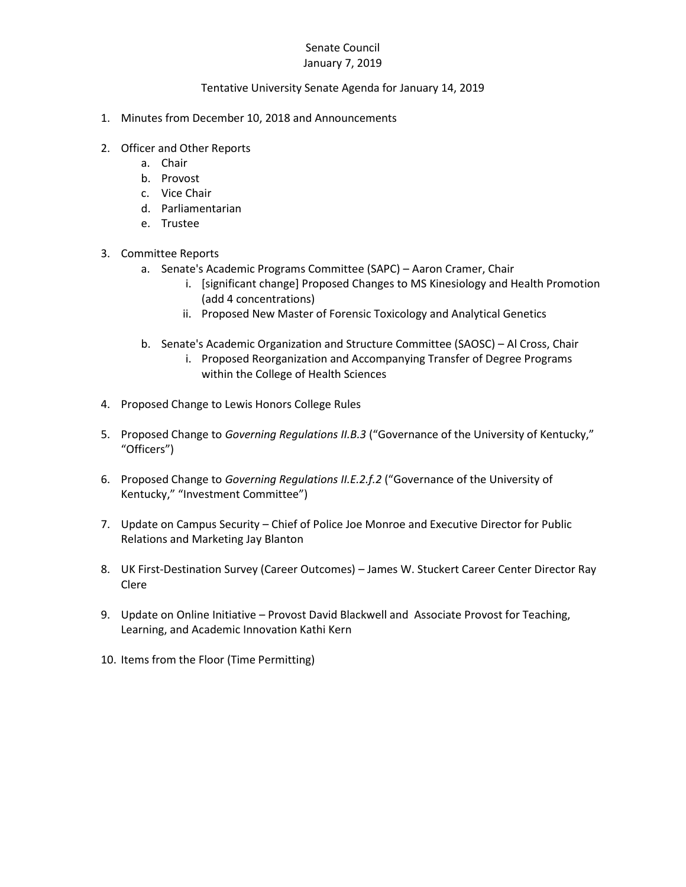## Senate Council January 7, 2019

## Tentative University Senate Agenda for January 14, 2019

- 1. Minutes from December 10, 2018 and Announcements
- 2. Officer and Other Reports
	- a. Chair
	- b. Provost
	- c. Vice Chair
	- d. Parliamentarian
	- e. Trustee
- 3. Committee Reports
	- a. Senate's Academic Programs Committee (SAPC) Aaron Cramer, Chair
		- i. [significant change] Proposed Changes to MS Kinesiology and Health Promotion (add 4 concentrations)
		- ii. Proposed New Master of Forensic Toxicology and Analytical Genetics
	- b. Senate's Academic Organization and Structure Committee (SAOSC) Al Cross, Chair
		- i. Proposed Reorganization and Accompanying Transfer of Degree Programs within the College of Health Sciences
- 4. Proposed Change to Lewis Honors College Rules
- 5. Proposed Change to *Governing Regulations II.B.3* ("Governance of the University of Kentucky," "Officers")
- 6. Proposed Change to *Governing Regulations II.E.2.f.2* ("Governance of the University of Kentucky," "Investment Committee")
- 7. Update on Campus Security Chief of Police Joe Monroe and Executive Director for Public Relations and Marketing Jay Blanton
- 8. UK First-Destination Survey (Career Outcomes) James W. Stuckert Career Center Director Ray Clere
- 9. Update on Online Initiative Provost David Blackwell and Associate Provost for Teaching, Learning, and Academic Innovation Kathi Kern
- 10. Items from the Floor (Time Permitting)